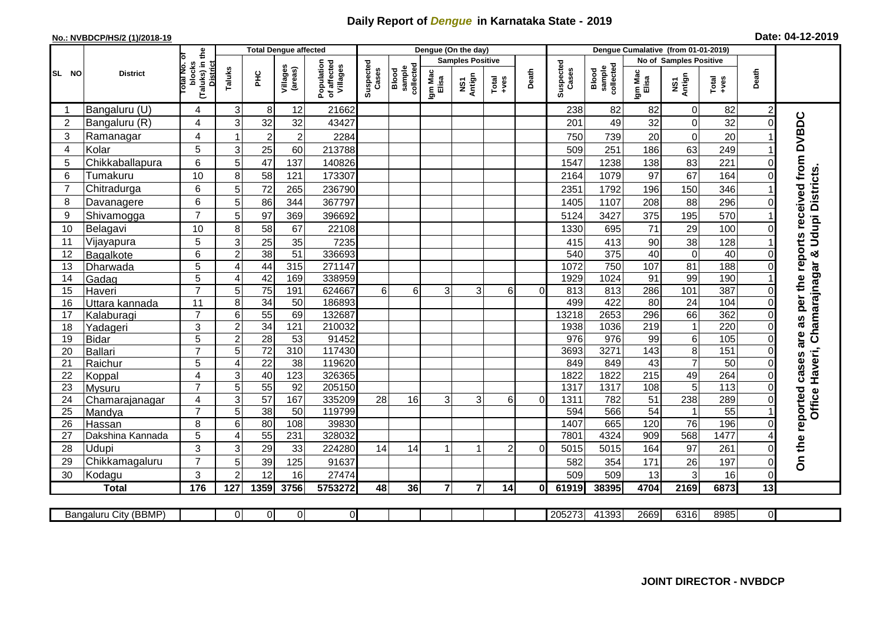## **Daily Report of** *Dengue* **in Karnataka State - 2019**

## **No.: NVBDCP/HS/2 (1)/2018-19 Date: 04-12-2019**

|                |                            | (Taluks) in the<br>otal No. of<br>blocks<br><b>District</b> | <b>Total Dengue affected</b> |                                                                              |                 |                    |                              |                  |                         | Dengue (On the day)                                                                                                                                                                                                                                                                                                                                                                                         |       |                    |                              |                  |                        |                                 |                        |                |                                        |
|----------------|----------------------------|-------------------------------------------------------------|------------------------------|------------------------------------------------------------------------------|-----------------|--------------------|------------------------------|------------------|-------------------------|-------------------------------------------------------------------------------------------------------------------------------------------------------------------------------------------------------------------------------------------------------------------------------------------------------------------------------------------------------------------------------------------------------------|-------|--------------------|------------------------------|------------------|------------------------|---------------------------------|------------------------|----------------|----------------------------------------|
|                | <b>District</b>            |                                                             |                              |                                                                              |                 |                    |                              |                  | <b>Samples Positive</b> |                                                                                                                                                                                                                                                                                                                                                                                                             |       |                    |                              |                  | No of Samples Positive |                                 |                        |                |                                        |
| SL NO          |                            |                                                             |                              | Population<br>of affected<br>Villages<br>Villages<br>(areas)<br>Taluks<br>ĔБ |                 | Suspected<br>Cases | sample<br>collected<br>Blood | Igm Mac<br>Elisa | NS1<br>Antign           | $\begin{array}{c}\n\text{Total} \\ \text{1-4} \\ \text{1-4} \\ \text{1-4} \\ \text{1-4} \\ \text{1-4} \\ \text{1-4} \\ \text{1-4} \\ \text{1-4} \\ \text{1-4} \\ \text{1-4} \\ \text{1-4} \\ \text{1-4} \\ \text{1-4} \\ \text{1-4} \\ \text{1-4} \\ \text{1-4} \\ \text{1-4} \\ \text{1-4} \\ \text{1-4} \\ \text{1-4} \\ \text{1-4} \\ \text{1-4} \\ \text{1-4} \\ \text{1-4} \\ \text{1-4} \\ \text{1-4$ | Death | Suspected<br>Cases | sample<br>collected<br>Blood | Igm Mac<br>Elisa | NS1<br>Antign          | Total<br>+ves                   | Death                  |                |                                        |
| -1             | Bangaluru (U)              | 4                                                           | 3                            | $8 \mid$                                                                     | 12              | 21662              |                              |                  |                         |                                                                                                                                                                                                                                                                                                                                                                                                             |       |                    | 238                          | 82               | 82                     | $\overline{0}$                  | 82                     | 2              |                                        |
| $\overline{2}$ | Bangaluru (R)              | 4                                                           | 3                            | 32                                                                           | 32              | 43427              |                              |                  |                         |                                                                                                                                                                                                                                                                                                                                                                                                             |       |                    | 201                          | 49               | 32                     | $\mathbf 0$                     | 32                     |                |                                        |
| 3              | Ramanagar                  | 4                                                           | 1                            | $\overline{2}$                                                               | $\overline{2}$  | 2284               |                              |                  |                         |                                                                                                                                                                                                                                                                                                                                                                                                             |       |                    | 750                          | 739              | 20                     | $\mathbf 0$                     | 20                     |                | as per the reports received from DVBDC |
| 4              | Kolar                      | 5                                                           | 3                            | 25                                                                           | 60              | 213788             |                              |                  |                         |                                                                                                                                                                                                                                                                                                                                                                                                             |       |                    | 509                          | 251              | 186                    | 63                              | 249                    |                |                                        |
| 5              | Chikkaballapura            | 6                                                           | 5                            | 47                                                                           | 137             | 140826             |                              |                  |                         |                                                                                                                                                                                                                                                                                                                                                                                                             |       |                    | 1547                         | 1238             | 138                    | 83                              | 221                    |                |                                        |
| 6              | Tumakuru                   | 10                                                          | 8                            | 58                                                                           | 121             | 173307             |                              |                  |                         |                                                                                                                                                                                                                                                                                                                                                                                                             |       |                    | 2164                         | 1079             | 97                     | 67                              | 164                    |                |                                        |
| $\overline{7}$ | Chitradurga                | 6                                                           | 5 <sup>5</sup>               | 72                                                                           | 265             | 236790             |                              |                  |                         |                                                                                                                                                                                                                                                                                                                                                                                                             |       |                    | 2351                         | 1792             | 196                    | 150                             | 346                    |                |                                        |
| 8              | Davanagere                 | 6                                                           | 5                            | 86                                                                           | 344             | 367797             |                              |                  |                         |                                                                                                                                                                                                                                                                                                                                                                                                             |       |                    | 1405                         | 1107             | 208                    | 88                              | 296                    | $\Omega$       |                                        |
| 9              | Shivamogga                 | $\overline{7}$                                              | 5                            | 97                                                                           | 369             | 396692             |                              |                  |                         |                                                                                                                                                                                                                                                                                                                                                                                                             |       |                    | 5124                         | 3427             | 375                    | 195                             | 570                    |                | <b>Udupi Districts</b>                 |
| 10             | Belagavi                   | 10                                                          | 8                            | 58                                                                           | 67              | 22108              |                              |                  |                         |                                                                                                                                                                                                                                                                                                                                                                                                             |       |                    | 1330                         | 695              | 71                     | 29                              | 100                    |                |                                        |
| 11             | Vijayapura                 | 5                                                           | 3                            | 25                                                                           | 35              | 7235               |                              |                  |                         |                                                                                                                                                                                                                                                                                                                                                                                                             |       |                    | 415                          | 413              | 90                     | 38                              | 128                    |                |                                        |
| 12             | Bagalkote                  | 6                                                           | $\overline{2}$               | 38                                                                           | 51              | 336693             |                              |                  |                         |                                                                                                                                                                                                                                                                                                                                                                                                             |       |                    | 540                          | 375              | 40                     | $\overline{0}$                  | 40                     | $\Omega$       | ×                                      |
| 13             | Dharwada                   | 5                                                           | $\boldsymbol{\Delta}$        | 44                                                                           | 315             | 271147             |                              |                  |                         |                                                                                                                                                                                                                                                                                                                                                                                                             |       |                    | 1072                         | 750              | 107                    | 81                              | 188                    |                | Office Haveri, Chamarajnagar           |
| 14             | Gadag                      | $\overline{5}$                                              | 4                            | 42                                                                           | 169             | 338959             |                              |                  |                         |                                                                                                                                                                                                                                                                                                                                                                                                             |       |                    | 1929                         | 1024             | 91                     | 99                              | 190                    |                |                                        |
| 15             | Haveri                     | $\overline{7}$                                              | 5                            | 75                                                                           | 191             | 624667             | 6                            | 6                | $\overline{3}$          | $\overline{3}$                                                                                                                                                                                                                                                                                                                                                                                              | 6     | $\Omega$           | 813                          | 813              | 286                    | 101                             | 387                    | 0              |                                        |
| 16             | Uttara kannada             | $\overline{11}$                                             | 8                            | 34                                                                           | $\overline{50}$ | 186893             |                              |                  |                         |                                                                                                                                                                                                                                                                                                                                                                                                             |       |                    | 499                          | 422              | 80                     | 24                              | 104                    |                |                                        |
| 17             | Kalaburagi                 | $\overline{7}$                                              | 6                            | $\overline{55}$                                                              | 69              | 132687             |                              |                  |                         |                                                                                                                                                                                                                                                                                                                                                                                                             |       |                    | 13218                        | 2653             | 296                    | 66                              | 362                    |                |                                        |
| 18             | Yadageri                   | 3                                                           | $\overline{c}$               | 34                                                                           | 121             | 210032             |                              |                  |                         |                                                                                                                                                                                                                                                                                                                                                                                                             |       |                    | 1938                         | 1036             | 219                    | $\mathbf{1}$                    | 220                    |                |                                        |
| 19             | <b>Bidar</b>               | 5                                                           | $\overline{c}$               | $\overline{28}$                                                              | 53              | 91452              |                              |                  |                         |                                                                                                                                                                                                                                                                                                                                                                                                             |       |                    | 976                          | 976              | 99                     | 6                               | 105                    | $\Omega$       | are                                    |
| 20             | <b>Ballari</b>             | $\overline{7}$                                              | 5                            | 72                                                                           | 310             | 117430             |                              |                  |                         |                                                                                                                                                                                                                                                                                                                                                                                                             |       |                    | 3693                         | 3271             | 143                    | $\overline{8}$                  | 151                    |                |                                        |
| 21             | Raichur                    | $\overline{5}$                                              | 4                            | $\overline{22}$                                                              | $\overline{38}$ | 119620             |                              |                  |                         |                                                                                                                                                                                                                                                                                                                                                                                                             |       |                    | 849                          | 849              | 43                     | $\overline{7}$                  | 50                     | $\Omega$       | cases                                  |
| 22             | Koppal                     | 4                                                           | 3                            | 40                                                                           | 123             | 326365             |                              |                  |                         |                                                                                                                                                                                                                                                                                                                                                                                                             |       |                    | 1822                         | 1822             | $\overline{215}$       | 49                              | 264                    | $\Omega$       |                                        |
| 23             | Mysuru                     | $\overline{7}$                                              | 5                            | $\overline{55}$                                                              | 92              | 205150             |                              |                  |                         |                                                                                                                                                                                                                                                                                                                                                                                                             |       |                    | 1317                         | 1317             | 108                    | 5                               | $\overline{113}$       | 0              |                                        |
| 24             | Chamarajanagar             | 4<br>$\overline{7}$                                         | 3                            | 57                                                                           | 167             | 335209             | $\overline{28}$              | 16               | 3                       | 3                                                                                                                                                                                                                                                                                                                                                                                                           | 6     | $\Omega$           | 1311                         | 782              | 51<br>$\overline{54}$  | 238                             | 289<br>$\overline{55}$ |                |                                        |
| 25<br>26       | Mandya                     | 8                                                           | 5<br>6                       | $\overline{38}$<br>80                                                        | 50<br>108       | 119799<br>39830    |                              |                  |                         |                                                                                                                                                                                                                                                                                                                                                                                                             |       |                    | 594<br>1407                  | 566<br>665       | 120                    | $\mathbf{1}$<br>$\overline{76}$ | 196                    |                |                                        |
| 27             | Hassan<br>Dakshina Kannada | 5                                                           | 4                            | 55                                                                           | 231             | 328032             |                              |                  |                         |                                                                                                                                                                                                                                                                                                                                                                                                             |       |                    | 7801                         | 4324             | 909                    | 568                             | 1477                   |                |                                        |
| 28             | Udupi                      | 3                                                           | 3                            | 29                                                                           | 33              | 224280             | 14                           | 14               |                         |                                                                                                                                                                                                                                                                                                                                                                                                             | 2     | $\Omega$           | 5015                         | 5015             | 164                    | 97                              | 261                    | ∩              | On the reported                        |
| 29             | Chikkamagaluru             | $\overline{7}$                                              | 5                            | 39                                                                           | 125             | 91637              |                              |                  |                         |                                                                                                                                                                                                                                                                                                                                                                                                             |       |                    | 582                          | 354              | 171                    | 26                              | 197                    | 0              |                                        |
| 30             | Kodagu                     | 3                                                           | $\overline{2}$               | 12                                                                           | 16              | 27474              |                              |                  |                         |                                                                                                                                                                                                                                                                                                                                                                                                             |       |                    | 509                          | 509              | 13                     | 3                               | 16                     | $\Omega$       |                                        |
|                | <b>Total</b>               | 176                                                         | 127                          | 1359                                                                         | 3756            | 5753272            | 48                           | 36               | $\overline{7}$          | $\overline{7}$                                                                                                                                                                                                                                                                                                                                                                                              | 14    | 0I                 | 61919                        | 38395            | 4704                   | 2169                            | 6873                   | 13             |                                        |
|                |                            |                                                             |                              |                                                                              |                 |                    |                              |                  |                         |                                                                                                                                                                                                                                                                                                                                                                                                             |       |                    |                              |                  |                        |                                 |                        |                |                                        |
|                | Bangaluru City (BBMP)      |                                                             | $\Omega$                     | 0                                                                            | $\overline{0}$  | $\overline{0}$     |                              |                  |                         |                                                                                                                                                                                                                                                                                                                                                                                                             |       |                    | 205273                       | 41393            | 2669                   | 6316                            | 8985                   | $\overline{0}$ |                                        |